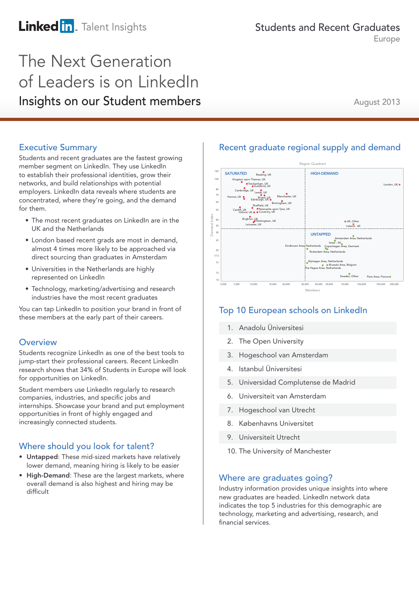# **Linked in**. Talent Insights

Europe

# The Next Generation of Leaders is on LinkedIn Insights on our Student members

August 2013

### Executive Summary

Students and recent graduates are the fastest growing member segment on LinkedIn. They use LinkedIn to establish their professional identities, grow their networks, and build relationships with potential employers. LinkedIn data reveals where students are concentrated, where they're going, and the demand for them.

- The most recent graduates on LinkedIn are in the UK and the Netherlands
- London based recent grads are most in demand, almost 4 times more likely to be approached via direct sourcing than graduates in Amsterdam
- Universities in the Netherlands are highly represented on LinkedIn
- Technology, marketing/advertising and research industries have the most recent graduates

You can tap LinkedIn to position your brand in front of these members at the early part of their careers.

### **Overview**

Students recognize LinkedIn as one of the best tools to jump-start their professional careers. Recent LinkedIn research shows that 34% of Students in Europe will look for opportunities on LinkedIn.

Student members use LinkedIn regularly to research companies, industries, and specific jobs and internships. Showcase your brand and put employment opportunities in front of highly engaged and increasingly connected students.

### Where should you look for talent?

- Untapped: These mid-sized markets have relatively lower demand, meaning hiring is likely to be easier
- High-Demand: These are the largest markets, where overall demand is also highest and hiring may be difficult

## Recent graduate regional supply and demand



### Top 10 European schools on LinkedIn

- 1. Anadolu Üniversitesi
- 2. The Open University
- 3. Hogeschool van Amsterdam
- 4. Istanbul Üniversitesi
- 5. Universidad Complutense de Madrid
- 6. Universiteit van Amsterdam
- 7. Hogeschool van Utrecht
- 8. Københavns Universitet
- 9. Universiteit Utrecht
- 10. The University of Manchester

### Where are graduates going?

Industry information provides unique insights into where new graduates are headed. LinkedIn network data indicates the top 5 industries for this demographic are technology, marketing and advertising, research, and financial services.